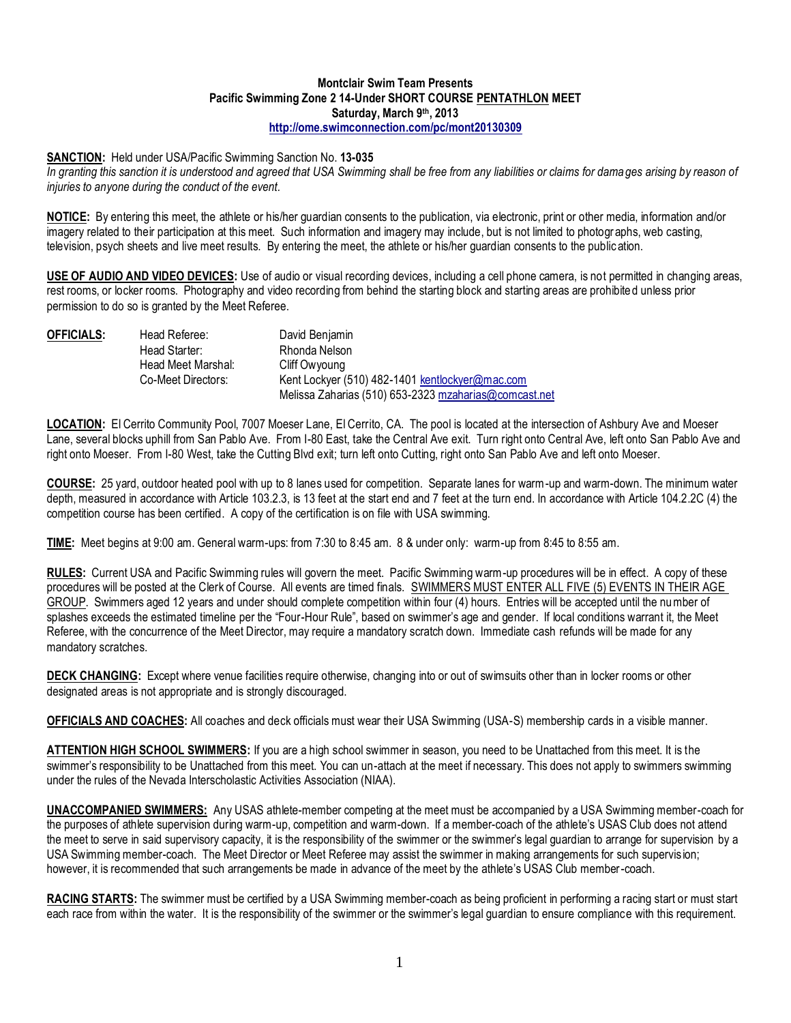## **Montclair Swim Team Presents Pacific Swimming Zone 2 14-Under SHORT COURSE PENTATHLON MEET Saturday, March 9th, 2013 [http://ome.swimconnection.com/pc/mont20130309](http://ome.swimconnection.com/pc/mont20120310)**

## **SANCTION:** Held under USA/Pacific Swimming Sanction No. **13-035**

*In granting this sanction it is understood and agreed that USA Swimming shall be free from any liabilities or claims for dama ges arising by reason of injuries to anyone during the conduct of the event.*

**NOTICE:** By entering this meet, the athlete or his/her guardian consents to the publication, via electronic, print or other media, information and/or imagery related to their participation at this meet. Such information and imagery may include, but is not limited to photogr aphs, web casting, television, psych sheets and live meet results. By entering the meet, the athlete or his/her guardian consents to the public ation.

**USE OF AUDIO AND VIDEO DEVICES:** Use of audio or visual recording devices, including a cell phone camera, is not permitted in changing areas, rest rooms, or locker rooms. Photography and video recording from behind the starting block and starting areas are prohibited unless prior permission to do so is granted by the Meet Referee.

| OFFICIALS: | Head Referee:      | David Benjamin                                        |  |  |  |  |
|------------|--------------------|-------------------------------------------------------|--|--|--|--|
|            | Head Starter:      | Rhonda Nelson                                         |  |  |  |  |
|            | Head Meet Marshal: | Cliff Owyoung                                         |  |  |  |  |
|            | Co-Meet Directors: | Kent Lockyer (510) 482-1401 kentlockyer@mac.com       |  |  |  |  |
|            |                    | Melissa Zaharias (510) 653-2323 mzaharias@comcast.net |  |  |  |  |

**LOCATION:** El Cerrito Community Pool, 7007 Moeser Lane, El Cerrito, CA. The pool is located at the intersection of Ashbury Ave and Moeser Lane, several blocks uphill from San Pablo Ave. From I-80 East, take the Central Ave exit. Turn right onto Central Ave, left onto San Pablo Ave and right onto Moeser. From I-80 West, take the Cutting Blvd exit; turn left onto Cutting, right onto San Pablo Ave and left onto Moeser.

**COURSE:** 25 yard, outdoor heated pool with up to 8 lanes used for competition. Separate lanes for warm-up and warm-down. The minimum water depth, measured in accordance with Article 103.2.3, is 13 feet at the start end and 7 feet at the turn end. In accordance with Article 104.2.2C (4) the competition course has been certified. A copy of the certification is on file with USA swimming.

**TIME:** Meet begins at 9:00 am. General warm-ups: from 7:30 to 8:45 am. 8 & under only: warm-up from 8:45 to 8:55 am.

**RULES:** Current USA and Pacific Swimming rules will govern the meet. Pacific Swimming warm-up procedures will be in effect. A copy of these procedures will be posted at the Clerk of Course. All events are timed finals. SWIMMERS MUST ENTER ALL FIVE (5) EVENTS IN THEIR AGE GROUP. Swimmers aged 12 years and under should complete competition within four (4) hours. Entries will be accepted until the number of splashes exceeds the estimated timeline per the "Four-Hour Rule", based on swimmer's age and gender. If local conditions warrant it, the Meet Referee, with the concurrence of the Meet Director, may require a mandatory scratch down. Immediate cash refunds will be made for any mandatory scratches.

**DECK CHANGING:** Except where venue facilities require otherwise, changing into or out of swimsuits other than in locker rooms or other designated areas is not appropriate and is strongly discouraged.

**OFFICIALS AND COACHES:** All coaches and deck officials must wear their USA Swimming (USA-S) membership cards in a visible manner.

**ATTENTION HIGH SCHOOL SWIMMERS:** If you are a high school swimmer in season, you need to be Unattached from this meet. It is the swimmer's responsibility to be Unattached from this meet. You can un-attach at the meet if necessary. This does not apply to swimmers swimming under the rules of the Nevada Interscholastic Activities Association (NIAA).

**UNACCOMPANIED SWIMMERS:** Any USAS athlete-member competing at the meet must be accompanied by a USA Swimming member-coach for the purposes of athlete supervision during warm-up, competition and warm-down. If a member-coach of the athlete's USAS Club does not attend the meet to serve in said supervisory capacity, it is the responsibility of the swimmer or the swimmer's legal guardian to arrange for supervision by a USA Swimming member-coach. The Meet Director or Meet Referee may assist the swimmer in making arrangements for such supervis ion; however, it is recommended that such arrangements be made in advance of the meet by the athlete's USAS Club member-coach.

**RACING STARTS:** The swimmer must be certified by a USA Swimming member-coach as being proficient in performing a racing start or must start each race from within the water. It is the responsibility of the swimmer or the swimmer's legal guardian to ensure compliance with this requirement.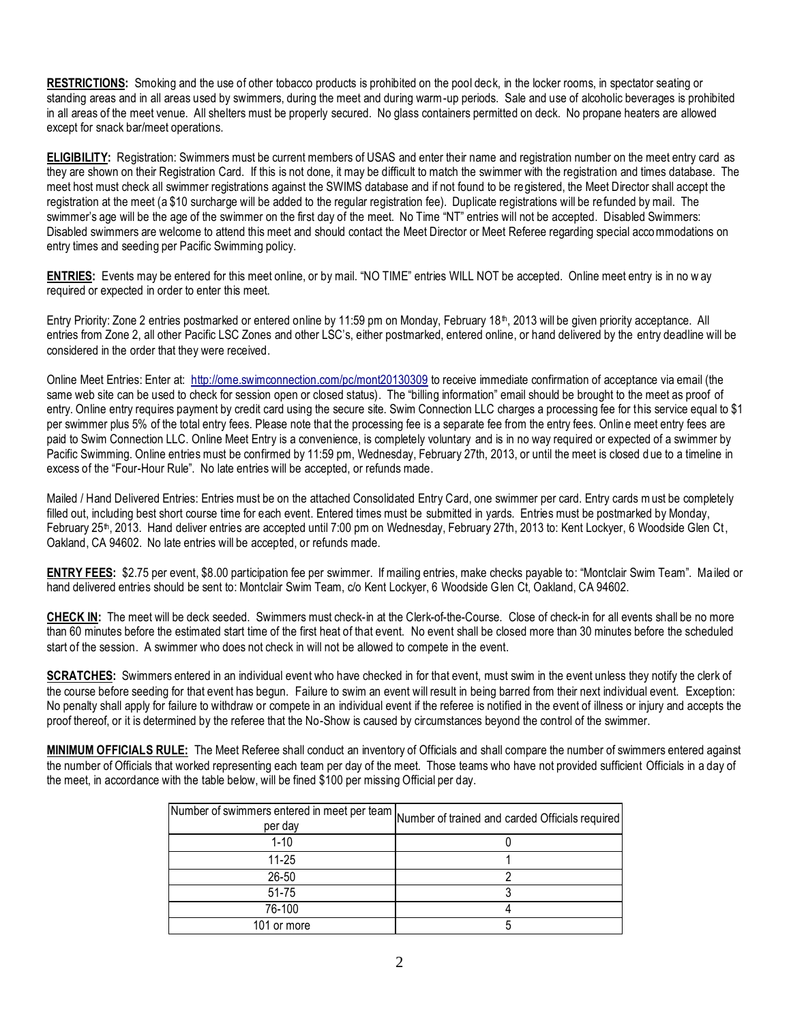**RESTRICTIONS:** Smoking and the use of other tobacco products is prohibited on the pool deck, in the locker rooms, in spectator seating or standing areas and in all areas used by swimmers, during the meet and during warm-up periods. Sale and use of alcoholic beverages is prohibited in all areas of the meet venue. All shelters must be properly secured. No glass containers permitted on deck. No propane heaters are allowed except for snack bar/meet operations.

**ELIGIBILITY:** Registration: Swimmers must be current members of USAS and enter their name and registration number on the meet entry card as they are shown on their Registration Card. If this is not done, it may be difficult to match the swimmer with the registration and times database. The meet host must check all swimmer registrations against the SWIMS database and if not found to be registered, the Meet Director shall accept the registration at the meet (a \$10 surcharge will be added to the regular registration fee). Duplicate registrations will be refunded by mail. The swimmer's age will be the age of the swimmer on the first day of the meet. No Time "NT" entries will not be accepted. Disabled Swimmers: Disabled swimmers are welcome to attend this meet and should contact the Meet Director or Meet Referee regarding special accommodations on entry times and seeding per Pacific Swimming policy.

**ENTRIES:** Events may be entered for this meet online, or by mail. "NO TIME" entries WILL NOT be accepted. Online meet entry is in no w ay required or expected in order to enter this meet.

Entry Priority: Zone 2 entries postmarked or entered online by 11:59 pm on Monday, February 18<sup>th</sup>, 2013 will be given priority acceptance. All entries from Zone 2, all other Pacific LSC Zones and other LSC's, either postmarked, entered online, or hand delivered by the entry deadline will be considered in the order that they were received.

Online Meet Entries: Enter at: [http://ome.swimconnection.com/pc/mont20130309](http://ome.swimconnection.com/pc/mont20120310) to receive immediate confirmation of acceptance via email (the same web site can be used to check for session open or closed status). The "billing information" email should be brought to the meet as proof of entry. Online entry requires payment by credit card using the secure site. Swim Connection LLC charges a processing fee for this service equal to \$1 per swimmer plus 5% of the total entry fees. Please note that the processing fee is a separate fee from the entry fees. Onlin e meet entry fees are paid to Swim Connection LLC. Online Meet Entry is a convenience, is completely voluntary and is in no way required or expected of a swimmer by Pacific Swimming. Online entries must be confirmed by 11:59 pm, Wednesday, February 27th, 2013, or until the meet is closed due to a timeline in excess of the "Four-Hour Rule". No late entries will be accepted, or refunds made.

Mailed / Hand Delivered Entries: Entries must be on the attached Consolidated Entry Card, one swimmer per card. Entry cards must be completely filled out, including best short course time for each event. Entered times must be submitted in yards. Entries must be postmarked by Monday, February 25<sup>th</sup>, 2013. Hand deliver entries are accepted until 7:00 pm on Wednesday, February 27th, 2013 to: Kent Lockyer, 6 Woodside Glen Ct, Oakland, CA 94602. No late entries will be accepted, or refunds made.

**ENTRY FEES:** \$2.75 per event, \$8.00 participation fee per swimmer. If mailing entries, make checks payable to: "Montclair Swim Team". Ma iled or hand delivered entries should be sent to: Montclair Swim Team, c/o Kent Lockyer, 6 Woodside Glen Ct, Oakland, CA 94602.

**CHECK IN:** The meet will be deck seeded. Swimmers must check-in at the Clerk-of-the-Course. Close of check-in for all events shall be no more than 60 minutes before the estimated start time of the first heat of that event. No event shall be closed more than 30 minutes before the scheduled start of the session. A swimmer who does not check in will not be allowed to compete in the event.

**SCRATCHES:** Swimmers entered in an individual event who have checked in for that event, must swim in the event unless they notify the clerk of the course before seeding for that event has begun. Failure to swim an event will result in being barred from their next individual event. Exception: No penalty shall apply for failure to withdraw or compete in an individual event if the referee is notified in the event of illness or injury and accepts the proof thereof, or it is determined by the referee that the No-Show is caused by circumstances beyond the control of the swimmer.

**MINIMUM OFFICIALS RULE:** The Meet Referee shall conduct an inventory of Officials and shall compare the number of swimmers entered against the number of Officials that worked representing each team per day of the meet. Those teams who have not provided sufficient Officials in a day of the meet, in accordance with the table below, will be fined \$100 per missing Official per day.

| [Number of swimmers entered in meet per team  Number of trained and carded Officials required  <br>per day |  |
|------------------------------------------------------------------------------------------------------------|--|
| $1 - 10$                                                                                                   |  |
| 11-25                                                                                                      |  |
| 26-50                                                                                                      |  |
| 51-75                                                                                                      |  |
| 76-100                                                                                                     |  |
| 101 or more                                                                                                |  |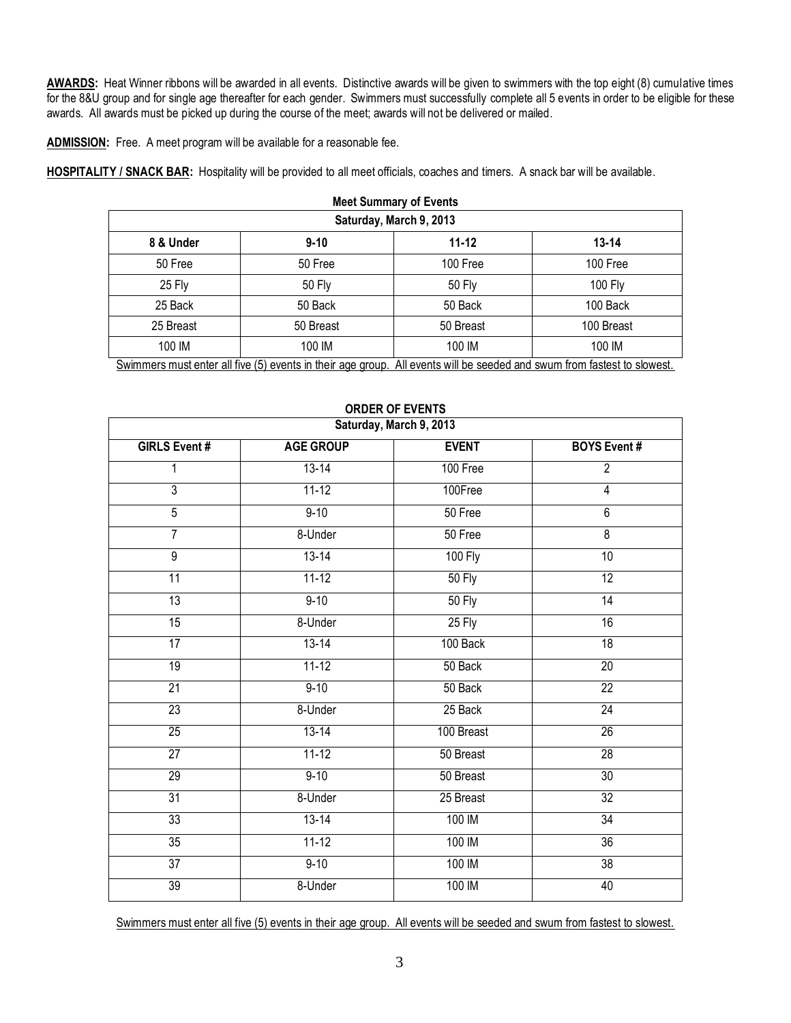**AWARDS:** Heat Winner ribbons will be awarded in all events. Distinctive awards will be given to swimmers with the top eight (8) cumulative times for the 8&U group and for single age thereafter for each gender. Swimmers must successfully complete all 5 events in order to be eligible for these awards. All awards must be picked up during the course of the meet; awards will not be delivered or mailed.

**ADMISSION:** Free. A meet program will be available for a reasonable fee.

**HOSPITALITY / SNACK BAR:** Hospitality will be provided to all meet officials, coaches and timers. A snack bar will be available.

| <b>Meet Summary of Events</b> |                                                                                                                     |               |                                          |  |  |  |  |  |
|-------------------------------|---------------------------------------------------------------------------------------------------------------------|---------------|------------------------------------------|--|--|--|--|--|
| Saturday, March 9, 2013       |                                                                                                                     |               |                                          |  |  |  |  |  |
| 8 & Under                     | $9 - 10$                                                                                                            | 11-12         | $13 - 14$                                |  |  |  |  |  |
| 50 Free                       | 50 Free                                                                                                             | 100 Free      | 100 Free                                 |  |  |  |  |  |
| 25 Fly                        | 50 Fly                                                                                                              | <b>50 Fly</b> | 100 Fly                                  |  |  |  |  |  |
| 25 Back                       | 50 Back                                                                                                             | 50 Back       | 100 Back                                 |  |  |  |  |  |
| 25 Breast                     | 50 Breast                                                                                                           | 50 Breast     | 100 Breast                               |  |  |  |  |  |
| 100 IM                        | 100 IM                                                                                                              | 100 IM        | 100 IM                                   |  |  |  |  |  |
|                               | $\bullet$ . The set of the set of $\bullet$ is the set of $\bullet$ is the set of $\bullet$ is the set of $\bullet$ |               | All the Million Library Confederation of |  |  |  |  |  |

Swimmers must enter all five (5) events in their age group. All events will be seeded and swum from fastest to slowest.

| Saturday, March 9, 2013 |                  |                |                     |  |  |  |  |  |  |
|-------------------------|------------------|----------------|---------------------|--|--|--|--|--|--|
| <b>GIRLS Event #</b>    | <b>AGE GROUP</b> | <b>EVENT</b>   | <b>BOYS Event #</b> |  |  |  |  |  |  |
| 1                       | $13 - 14$        | 100 Free       | $\overline{2}$      |  |  |  |  |  |  |
| $\overline{3}$          | $11 - 12$        | 100Free        | 4                   |  |  |  |  |  |  |
| $\overline{5}$          | $9 - 10$         | 50 Free        | $\overline{6}$      |  |  |  |  |  |  |
| $\overline{7}$          | 8-Under          | 50 Free        | $\overline{8}$      |  |  |  |  |  |  |
| $\overline{9}$          | $13 - 14$        | <b>100 Fly</b> | 10                  |  |  |  |  |  |  |
| 11                      | $11-12$          | 50 Fly         | $\overline{12}$     |  |  |  |  |  |  |
| 13                      | $9 - 10$         | <b>50 Fly</b>  | 14                  |  |  |  |  |  |  |
| $\overline{15}$         | 8-Under          | $25$ Fly       | 16                  |  |  |  |  |  |  |
| 17                      | $13 - 14$        | 100 Back       | 18                  |  |  |  |  |  |  |
| 19                      | $11 - 12$        | 50 Back        | $\overline{20}$     |  |  |  |  |  |  |
| 21                      | $9 - 10$         | 50 Back        | $\overline{22}$     |  |  |  |  |  |  |
| 23                      | 8-Under          | 25 Back        | $\overline{24}$     |  |  |  |  |  |  |
| $\overline{25}$         | $13 - 14$        | 100 Breast     | $\overline{26}$     |  |  |  |  |  |  |
| 27                      | $11 - 12$        | 50 Breast      | $\overline{28}$     |  |  |  |  |  |  |
| 29                      | $9 - 10$         | 50 Breast      | 30                  |  |  |  |  |  |  |
| 31                      | 8-Under          | 25 Breast      | $\overline{32}$     |  |  |  |  |  |  |
| 33                      | $13 - 14$        | 100 IM         | 34                  |  |  |  |  |  |  |
| 35                      | $11-12$          | 100 IM         | $\overline{36}$     |  |  |  |  |  |  |
| 37                      | $9 - 10$         | 100 IM         | 38                  |  |  |  |  |  |  |
| 39                      | 8-Under          | 100 IM         | 40                  |  |  |  |  |  |  |

## **ORDER OF EVENTS**

Swimmers must enter all five (5) events in their age group. All events will be seeded and swum from fastest to slowest.